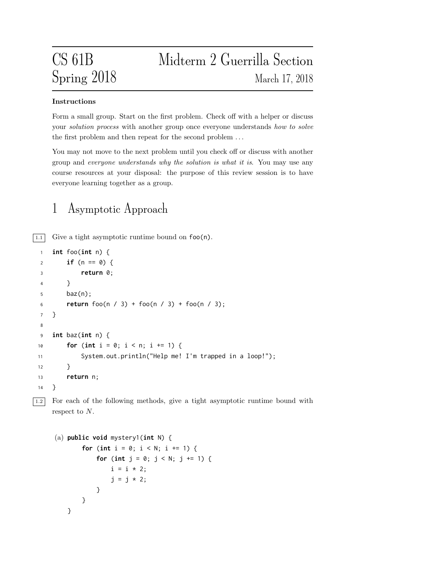# CS 61B Midterm 2 Guerrilla Section Spring 2018 March 17, 2018

### Instructions

Form a small group. Start on the first problem. Check off with a helper or discuss your *solution process* with another group once everyone understands how to solve the first problem and then repeat for the second problem . . .

You may not move to the next problem until you check off or discuss with another group and everyone understands why the solution is what it is. You may use any course resources at your disposal: the purpose of this review session is to have everyone learning together as a group.

### 1 Asymptotic Approach

 $\boxed{1.1}$  Give a tight asymptotic runtime bound on  $\text{foo}(n)$ .

```
1 int foo(int n) {
2 if (n == 0) {
3 return 0;
4 }
5 baz(n);
6 return foo(n / 3) + foo(n / 3) + foo(n / 3);
7 }
8
9 int baz(int n) {
10 for (int i = 0; i < n; i +1) {
11 System.out.println("Help me! I'm trapped in a loop!");
12 }
13 return n;
14 }
```
1.2 For each of the following methods, give a tight asymptotic runtime bound with respect to N.

```
(a) public void mystery1(int N) {
       for (int i = 0; i < N; i += 1) {
           for (int j = 0; j < N; j == 1) {
               i = i * 2;j = j * 2;}
       }
   }
```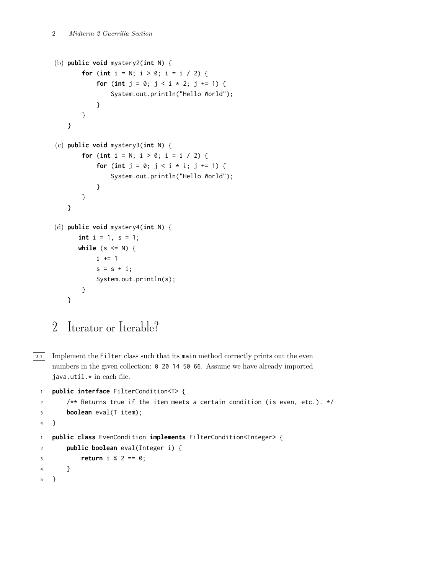```
(b) public void mystery2(int N) {
       for (int i = N; i > 0; i = i / 2) {
            for (int j = 0; j < i + 2; j += 1) {
                System.out.println("Hello World");
            }
       }
   }
(c) public void mystery3(int N) {
       for (int i = N; i > 0; i = i / 2) {
            for (int j = 0; j < i * i; j += 1) {
                System.out.println("Hello World");
            }
       }
   }
(d) public void mystery4(int N) {
      int i = 1, s = 1;while (s \leq N) {
            i += 1
            s = s + i;System.out.println(s);
       }
   }
```

```
2 Iterator or Iterable?
```
 $\boxed{2.1}$  Implement the Filter class such that its main method correctly prints out the even numbers in the given collection: 0 20 14 50 66. Assume we have already imported java.util.\* in each file.

```
1 public interface FilterCondition<T> {
2 /** Returns true if the item meets a certain condition (is even, etc.). */
3 boolean eval(T item);
4 }
1 public class EvenCondition implements FilterCondition<Integer> {
2 public boolean eval(Integer i) {
3 return i % 2 == 0;
4 }
5 }
```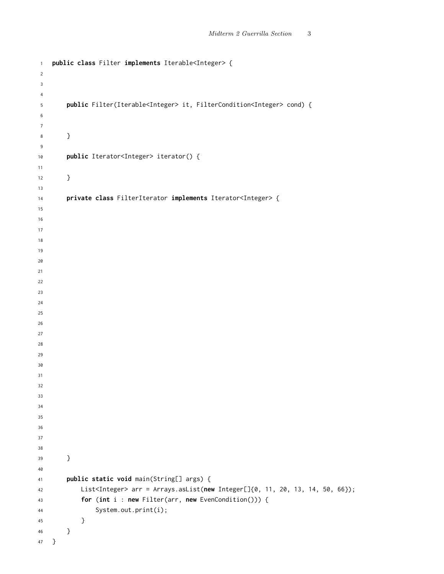```
1 public class Filter implements Iterable<Integer> {
2
3
4
5 public Filter(Iterable<Integer> it, FilterCondition<Integer> cond) {
6
7
8 }
9
10 public Iterator<Integer> iterator() {
11
12   }
13
14 private class FilterIterator implements Iterator<Integer> {
15
16
17
18
19
20
21
22
23
24
25
26
27
28
29
30
31
32
33
34
35
36
37
38
39 }
40
41 public static void main(String[] args) {
42 List<Integer> arr = Arrays.asList(new Integer[]{0, 11, 20, 13, 14, 50, 66});
43 for (int i : new Filter(arr, new EvenCondition())) {
44 System.out.print(i);
45 }
46 }
47 }
```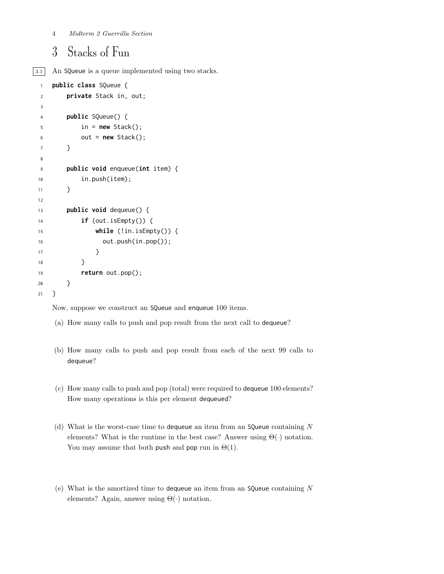### Stacks of Fun

3.1 An SQueue is a queue implemented using two stacks.

```
1 public class SQueue {
2 private Stack in, out;
3
4 public SQueue() {
5 in = new Stack();
6 out = new Stack();
7 }
8
9 public void enqueue(int item) {
10 in.push(item);
11 }
12
13 public void dequeue() {
14 if (out.isEmpty()) {
15 while (!in.isEmpty()) {
16 out.push(in.pop());
17 }
18 }
19 return out.pop();
20 }
21 }
```
Now, suppose we construct an SQueue and enqueue 100 items.

- (a) How many calls to push and pop result from the next call to dequeue?
- (b) How many calls to push and pop result from each of the next 99 calls to dequeue?
- (c) How many calls to push and pop (total) were required to dequeue 100 elements? How many operations is this per element dequeued?
- (d) What is the worst-case time to dequeue an item from an SQueue containing  $N$ elements? What is the runtime in the best case? Answer using  $\Theta(\cdot)$  notation. You may assume that both push and pop run in  $\Theta(1)$ .
- (e) What is the amortized time to dequeue an item from an SQueue containing  $N$ elements? Again, answer using  $\Theta(\cdot)$  notation.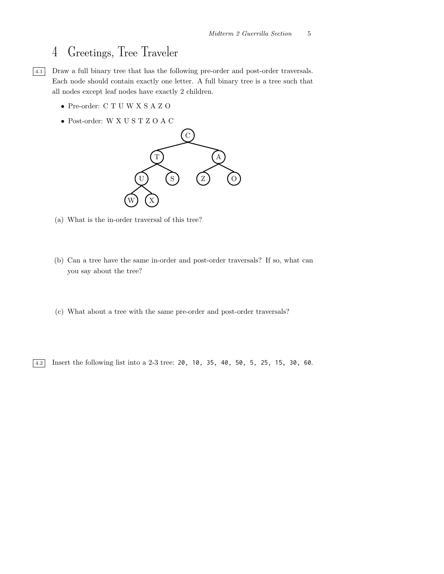## 4 Greetings, Tree Traveler



4.1 Draw a full binary tree that has the following pre-order and post-order traversals. Each node should contain exactly one letter. A full binary tree is a tree such that all nodes except leaf nodes have exactly 2 children.

- Pre-order: C T U W X S A Z O
- Post-order: W X U S T Z O A C



- (a) What is the in-order traversal of this tree?
- (b) Can a tree have the same in-order and post-order traversals? If so, what can you say about the tree?
- (c) What about a tree with the same pre-order and post-order traversals?

 $\boxed{4.2}$  Insert the following list into a 2-3 tree: 20, 10, 35, 40, 50, 5, 25, 15, 30, 60.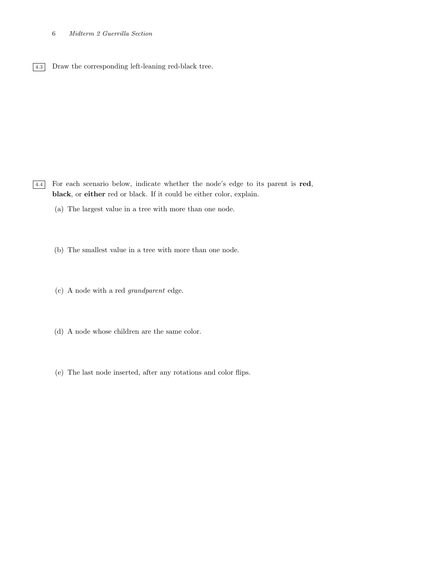#### 6 Midterm 2 Guerrilla Section

4.3 Draw the corresponding left-leaning red-black tree.

4.4 For each scenario below, indicate whether the node's edge to its parent is red, black, or either red or black. If it could be either color, explain.

- (a) The largest value in a tree with more than one node.
- (b) The smallest value in a tree with more than one node.
- (c) A node with a red grandparent edge.
- (d) A node whose children are the same color.
- (e) The last node inserted, after any rotations and color flips.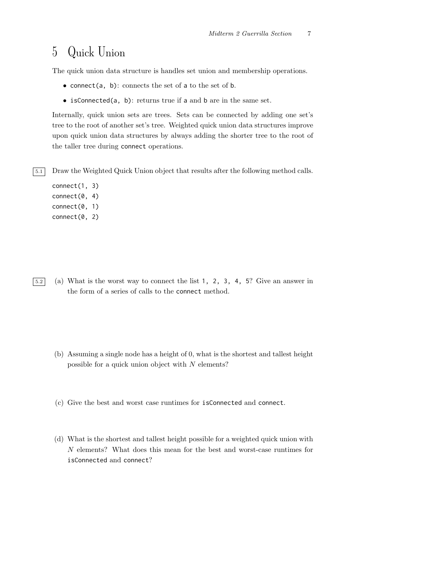### 5 Quick Union

The quick union data structure is handles set union and membership operations.

- connect(a, b): connects the set of a to the set of b.
- isConnected(a, b): returns true if a and b are in the same set.

Internally, quick union sets are trees. Sets can be connected by adding one set's tree to the root of another set's tree. Weighted quick union data structures improve upon quick union data structures by always adding the shorter tree to the root of the taller tree during connect operations.

5.1 Draw the Weighted Quick Union object that results after the following method calls.

connect(1, 3) connect(0, 4) connect(0, 1) connect(0, 2)

- 5.2 (a) What is the worst way to connect the list 1, 2, 3, 4, 5? Give an answer in the form of a series of calls to the connect method.
	- (b) Assuming a single node has a height of 0, what is the shortest and tallest height possible for a quick union object with  $N$  elements?
	- (c) Give the best and worst case runtimes for isConnected and connect.
	- (d) What is the shortest and tallest height possible for a weighted quick union with N elements? What does this mean for the best and worst-case runtimes for isConnected and connect?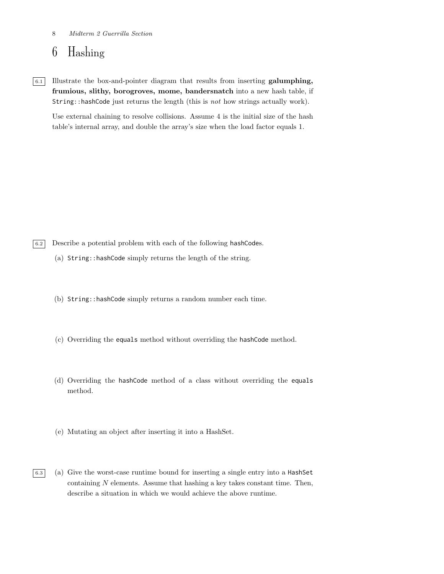#### 8 Midterm 2 Guerrilla Section

### 6 Hashing

6.1 Illustrate the box-and-pointer diagram that results from inserting galumphing, frumious, slithy, borogroves, mome, bandersnatch into a new hash table, if String::hashCode just returns the length (this is not how strings actually work).

Use external chaining to resolve collisions. Assume 4 is the initial size of the hash table's internal array, and double the array's size when the load factor equals 1.

6.2 Describe a potential problem with each of the following hashCodes.

- (a) String::hashCode simply returns the length of the string.
- (b) String::hashCode simply returns a random number each time.
- (c) Overriding the equals method without overriding the hashCode method.
- (d) Overriding the hashCode method of a class without overriding the equals method.
- (e) Mutating an object after inserting it into a HashSet.
- $\boxed{6.3}$  (a) Give the worst-case runtime bound for inserting a single entry into a HashSet containing  $N$  elements. Assume that hashing a key takes constant time. Then, describe a situation in which we would achieve the above runtime.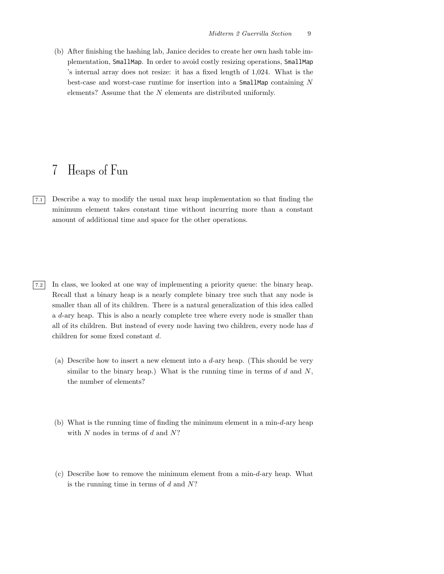(b) After finishing the hashing lab, Janice decides to create her own hash table implementation, SmallMap. In order to avoid costly resizing operations, SmallMap 's internal array does not resize: it has a fixed length of 1,024. What is the best-case and worst-case runtime for insertion into a  $SmallMap$  containing  $N$ elements? Assume that the N elements are distributed uniformly.

### 7 Heaps of Fun

- 7.1 Describe a way to modify the usual max heap implementation so that finding the minimum element takes constant time without incurring more than a constant amount of additional time and space for the other operations.
- 7.2 In class, we looked at one way of implementing a priority queue: the binary heap. Recall that a binary heap is a nearly complete binary tree such that any node is smaller than all of its children. There is a natural generalization of this idea called a d-ary heap. This is also a nearly complete tree where every node is smaller than all of its children. But instead of every node having two children, every node has d children for some fixed constant d.
	- (a) Describe how to insert a new element into a  $d$ -ary heap. (This should be very similar to the binary heap.) What is the running time in terms of  $d$  and  $N$ , the number of elements?
	- (b) What is the running time of finding the minimum element in a min- $d$ -ary heap with  $N$  nodes in terms of  $d$  and  $N$ ?
	- (c) Describe how to remove the minimum element from a min-d-ary heap. What is the running time in terms of  $d$  and  $N$ ?